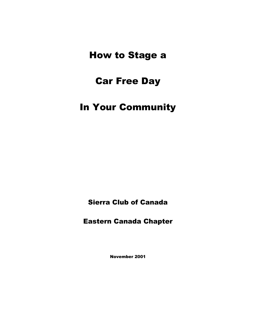# How to Stage a

# Car Free Day

# In Your Community

Sierra Club of Canada

Eastern Canada Chapter

November 2001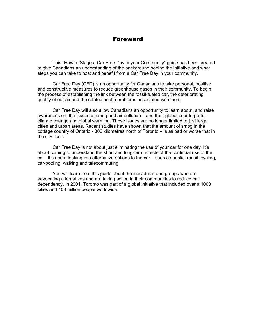#### Foreward

This "How to Stage a Car Free Day in your Community" guide has been created to give Canadians an understanding of the background behind the initiative and what steps you can take to host and benefit from a Car Free Day in your community.

Car Free Day (CFD) is an opportunity for Canadians to take personal, positive and constructive measures to reduce greenhouse gases in their community. To begin the process of establishing the link between the fossil-fueled car, the deteriorating quality of our air and the related health problems associated with them.

Car Free Day will also allow Canadians an opportunity to learn about, and raise awareness on, the issues of smog and air pollution – and their global counterparts – climate change and global warming. These issues are no longer limited to just large cities and urban areas. Recent studies have shown that the amount of smog in the cottage country of Ontario - 300 kilometres north of Toronto – is as bad or worse that in the city itself.

Car Free Day is not about just eliminating the use of your car for one day. It's about coming to understand the short and long-term effects of the continual use of the car. It's about looking into alternative options to the car – such as public transit, cycling, car-pooling, walking and telecommuting.

 You will learn from this guide about the individuals and groups who are advocating alternatives and are taking action in their communities to reduce car dependency. In 2001, Toronto was part of a global initiative that included over a 1000 cities and 100 million people worldwide.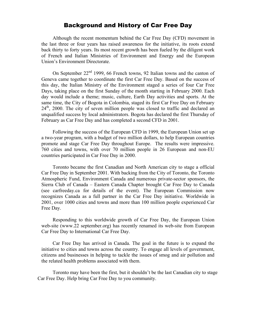## Background and History of Car Free Day

Although the recent momentum behind the Car Free Day (CFD) movement in the last three or four years has raised awareness for the initiative, its roots extend back thirty to forty years. Its most recent growth has been fueled by the diligent work of French and Italian Ministries of Environment and Energy and the European Union's Environment Directorate.

On September  $22<sup>nd</sup>$  1999, 66 French towns, 92 Italian towns and the canton of Geneva came together to coordinate the first Car Free Day. Based on the success of this day, the Italian Ministry of the Environment staged a series of four Car Free Days, taking place on the first Sunday of the month starting in February 2000. Each day would include a theme; music, culture, Earth Day activities and sports. At the same time, the City of Bogota in Colombia, staged its first Car Free Day on February  $24<sup>th</sup>$ , 2000. The city of seven million people was closed to traffic and declared an unqualified success by local administrators. Bogota has declared the first Thursday of February as Car Free Day and has completed a second CFD in 2001.

 Following the success of the European CFD in 1999, the European Union set up a two-year program, with a budget of two million dollars, to help European countries promote and stage Car Free Day throughout Europe. The results were impressive. 760 cities and towns, with over 70 million people in 26 European and non-EU countries participated in Car Free Day in 2000.

 Toronto became the first Canadian and North American city to stage a official Car Free Day in September 2001. With backing from the City of Toronto, the Toronto Atmospheric Fund, Environment Canada and numerous private-sector sponsors, the Sierra Club of Canada – Eastern Canada Chapter brought Car Free Day to Canada (see carfreeday.ca for details of the event). The European Commission now recognizes Canada as a full partner in the Car Free Day initiative. Worldwide in 2001, over 1000 cities and towns and more than 100 million people experienced Car Free Day.

 Responding to this worldwide growth of Car Free Day, the European Union web-site (www.22 september.org) has recently renamed its web-site from European Car Free Day to International Car Free Day.

 Car Free Day has arrived in Canada. The goal in the future is to expand the initiative to cities and towns across the country. To engage all levels of government, citizens and businesses in helping to tackle the issues of smog and air pollution and the related health problems associated with them.

 Toronto may have been the first, but it shouldn't be the last Canadian city to stage Car Free Day. Help bring Car Free Day to you community.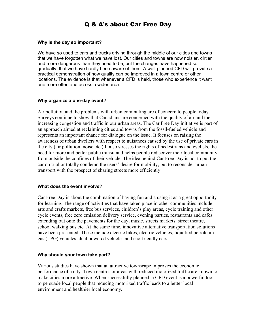# Q & A's about Car Free Day

#### **Why is the day so important?**

We have so used to cars and trucks driving through the middle of our cities and towns that we have forgotten what we have lost. Our cities and towns are now noisier, dirtier and more dangerous than they used to be, but the changes have happened so gradually, that we have hardly been aware of them. A well-planned CFD will provide a practical demonstration of how quality can be improved in a town centre or other locations. The evidence is that whenever a CFD is held, those who experience it want one more often and across a wider area.

#### **Why organize a one-day event?**

Air pollution and the problems with urban commuting are of concern to people today. Surveys continue to show that Canadians are concerned with the quality of air and the increasing congestion and traffic in our urban areas. The Car Free Day initiative is part of an approach aimed at reclaiming cities and towns from the fossil-fueled vehicle and represents an important chance for dialogue on the issue. It focuses on raising the awareness of urban dwellers with respect to nuisances caused by the use of private cars in the city (air pollution, noise etc.) It also stresses the rights of pedestrians and cyclists, the need for more and better public transit and helps people rediscover their local community from outside the confines of their vehicle. The idea behind Car Free Day is not to put the car on trial or totally condemn the users' desire for mobility, but to reconsider urban transport with the prospect of sharing streets more efficiently.

#### **What does the event involve?**

Car Free Day is about the combination of having fun and a using it as a great opportunity for learning. The range of activities that have taken place in other communities include arts and crafts markets, free bus services, children's play areas, cycle training and other cycle events, free zero emission delivery service, evening parties, restaurants and cafes extending out onto the pavements for the day, music, streets markets, street theatre, school walking bus etc. At the same time, innovative alternative transportation solutions have been presented. These include electric bikes, electric vehicles, liquefied petroleum gas (LPG) vehicles, dual powered vehicles and eco-friendly cars.

#### **Why should your town take part?**

Various studies have shown that an attractive townscape improves the economic performance of a city. Town centres or areas with reduced motorized traffic are known to make cities more attractive. When successfully planned, a CFD event is a powerful tool to persuade local people that reducing motorized traffic leads to a better local environment and healthier local economy.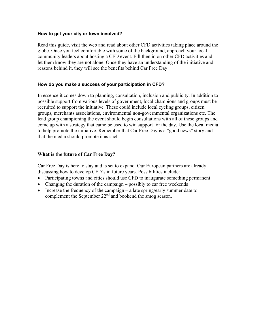#### **How to get your city or town involved?**

Read this guide, visit the web and read about other CFD activities taking place around the globe. Once you feel comfortable with some of the background, approach your local community leaders about hosting a CFD event. Fill then in on other CFD activities and let them know they are not alone. Once they have an understanding of the initiative and reasons behind it, they will see the benefits behind Car Free Day

#### **How do you make a success of your participation in CFD?**

In essence it comes down to planning, consultation, inclusion and publicity. In addition to possible support from various levels of government, local champions and groups must be recruited to support the initiative. These could include local cycling groups, citizen groups, merchants associations, environmental non-governmental organizations etc. The lead group championing the event should begin consultations with all of these groups and come up with a strategy that came be used to win support for the day. Use the local media to help promote the initiative. Remember that Car Free Day is a "good news" story and that the media should promote it as such.

#### **What is the future of Car Free Day?**

Car Free Day is here to stay and is set to expand. Our European partners are already discussing how to develop CFD's in future years. Possibilities include:

- Participating towns and cities should use CFD to inaugurate something permanent
- Changing the duration of the campaign possibly to car free weekends
- Increase the frequency of the campaign a late spring/early summer date to complement the September 22<sup>nd</sup> and bookend the smog season.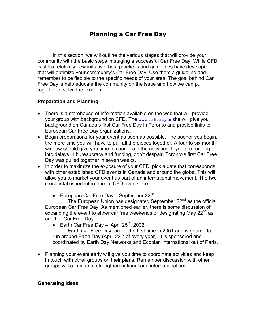# Planning a Car Free Day

In this section, we will outline the various stages that will provide your community with the basic steps in staging a successful Car Free Day. While CFD is still a relatively new initiative, best practices and guidelines have developed that will optimize your community's Car Free Day. Use them a guideline and remember to be flexible to the specific needs of your area. The goal behind Car Free Day is help educate the community on the issue and how we can pull together to solve the problem.

### **Preparation and Planning**

- There is a storehouse of information available on the web that will provide your group with background on CFD. The www.carfreeday.ca site will give you background on Canada's first Car Free Day in Toronto and provide links to European Car Free Day organizations.
- Begin preparations for your event as soon as possible. The sooner you begin, the more time you will have to pull all the pieces together. A four to six month window should give you time to coordinate the activities. If you are running into delays in bureaucracy and funding, don't despair. Toronto's first Car Free Day was pulled together in seven weeks.
- In order to maximize the exposure of your CFD, pick a date that corresponds with other established CFD events in Canada and around the globe. This will allow you to market your event as part of an international movement. The two most established international CFD events are:
	- European Car Free Day September  $22^{nd}$

The European Union has designated September 22<sup>nd</sup> as the official European Car Free Day. As mentioned earlier, there is some discussion of expanding the event to either car free weekends or designating May  $22<sup>nd</sup>$  as another Car Free Day

• Earth Car Free Day – April  $25<sup>th</sup>$ , 2002

 Earth Car Free Day ran for the first time in 2001 and is geared to run around Earth Day (April 22<sup>nd</sup> of every year). It is sponsored and coordinated by Earth Day Networks and Ecoplan International out of Paris.

• Planning your event early will give you time to coordinate activities and keep in touch with other groups on their plans. Remember discussion with other groups will continue to strengthen national and international ties.

#### **Generating Ideas**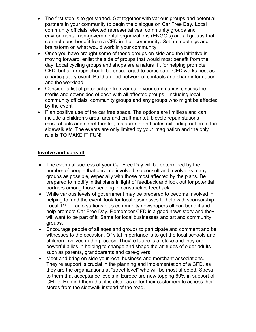- The first step is to get started. Get together with various groups and potential partners in your community to begin the dialogue on Car Free Day. Local community officials, elected representatives, community groups and environmental non-governmental organizations (ENGO's) are all groups that can help and benefit from a CFD in their community. Set up meetings and brainstorm on what would work in your community.
- Once you have brought some of these groups on-side and the initiative is moving forward, enlist the aide of groups that would most benefit from the day. Local cycling groups and shops are a natural fit for helping promote CFD, but all groups should be encouraged to participate. CFD works best as a participatory event. Build a good network of contacts and share information and the workload.
- Consider a list of potential car free zones in your community, discuss the merits and downsides of each with all affected groups - including local community officials, community groups and any groups who might be affected by the event.
- Plan positive use of the car free space. The options are limitless and can include a children's area, arts and craft market, bicycle repair stations, musical acts and street theatre, restaurants and cafes extending out on to the sidewalk etc. The events are only limited by your imagination and the only rule is TO MAKE IT FUN!

### **Involve and consult**

- The eventual success of your Car Free Day will be determined by the number of people that become involved, so consult and involve as many groups as possible, especially with those most affected by the plans. Be prepared to modify initial plans in light of feedback and look out for potential partners among those sending in constructive feedback.
- While various levels of government may be prepared to become involved in helping to fund the event, look for local businesses to help with sponsorship. Local TV or radio stations plus community newspapers all can benefit and help promote Car Free Day. Remember CFD is a good news story and they will want to be part of it. Same for local businesses and art and community groups.
- Encourage people of all ages and groups to participate and comment and be witnesses to the occasion. Of vital importance is to get the local schools and children involved in the process. They're future is at stake and they are powerful allies in helping to change and shape the attitudes of older adults such as parents, grandparents and care-givers.
- Meet and bring on-side your local business and merchant associations. They're support is crucial in the planning and implementation of a CFD, as they are the organizations at "street level" who will be most affected. Stress to them that acceptance levels in Europe are now topping 60% in support of CFD's. Remind them that it is also easier for their customers to access their stores from the sidewalk instead of the road.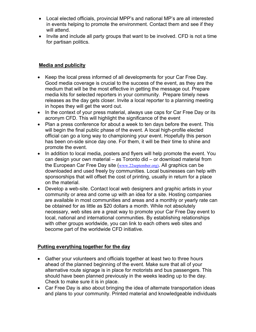- Local elected officials, provincial MPP's and national MP's are all interested in events helping to promote the environment. Contact them and see if they will attend.
- Invite and include all party groups that want to be involved. CFD is not a time for partisan politics.

## **Media and publicity**

- Keep the local press informed of all developments for your Car Free Day. Good media coverage is crucial to the success of the event, as they are the medium that will be the most effective in getting the message out. Prepare media kits for selected reporters in your community. Prepare timely news releases as the day gets closer. Invite a local reporter to a planning meeting in hopes they will get the word out.
- In the context of your press material, always use caps for Car Free Day or its acronym CFD. This will highlight the significance of the event
- Plan a press conference for about a week to ten days before the event. This will begin the final public phase of the event. A local high-profile elected official can go a long way to championing your event. Hopefully this person has been on-side since day one. For them, it will be their time to shine and promote the event.
- In addition to local media, posters and flyers will help promote the event. You can design your own material – as Toronto did – or download material from the European Car Free Day site (www.22september.org). All graphics can be downloaded and used freely by communities. Local businesses can help with sponsorships that will offset the cost of printing, usually in return for a place on the material.
- Develop a web-site. Contact local web designers and graphic artists in your community or area and come up with an idea for a site. Hosting companies are available in most communities and areas and a monthly or yearly rate can be obtained for as little as \$20 dollars a month. While not absolutely necessary, web sites are a great way to promote your Car Free Day event to local, national and international communities. By establishing relationships with other groups worldwide, you can link to each others web sites and become part of the worldwide CFD initiative.

# **Putting everything together for the day**

- Gather your volunteers and officials together at least two to three hours ahead of the planned beginning of the event. Make sure that all of your alternative route signage is in place for motorists and bus passengers. This should have been planned previously in the weeks leading up to the day. Check to make sure it is in place.
- Car Free Day is also about bringing the idea of alternate transportation ideas and plans to your community. Printed material and knowledgeable individuals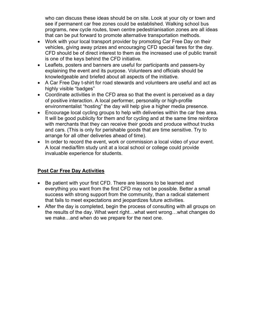who can discuss these ideas should be on site. Look at your city or town and see if permanent car free zones could be established. Walking school bus programs, new cycle routes, town centre pedestrianisation zones are all ideas that can be put forward to promote alternative transportation methods.

- Work with your local transport provider by promoting Car Free Day on their vehicles, giving away prizes and encouraging CFD special fares for the day. CFD should be of direct interest to them as the increased use of public transit is one of the keys behind the CFD initiative.
- Leaflets, posters and banners are useful for participants and passers-by explaining the event and its purpose. Volunteers and officials should be knowledgeable and briefed about all aspects of the initiative.
- A Car Free Day t-shirt for road stewards and volunteers are useful and act as highly visible "badges"
- Coordinate activities in the CFD area so that the event is perceived as a day of positive interaction. A local performer, personality or high-profile environmentalist "hosting" the day will help give a higher media presence.
- Encourage local cycling groups to help with deliveries within the car free area. It will be good publicity for them and for cycling and at the same time reinforce with merchants that they can receive their goods and produce without trucks and cars. (This is only for perishable goods that are time sensitive. Try to arrange for all other deliveries ahead of time).
- In order to record the event, work or commission a local video of your event. A local media/film study unit at a local school or college could provide invaluable experience for students.

# **Post Car Free Day Activities**

- Be patient with your first CFD. There are lessons to be learned and everything you want from the first CFD may not be possible. Better a small success with strong support from the community, than a radical statement that fails to meet expectations and jeopardizes future activities.
- After the day is completed, begin the process of consulting with all groups on the results of the day. What went right…what went wrong…what changes do we make…and when do we prepare for the next one.